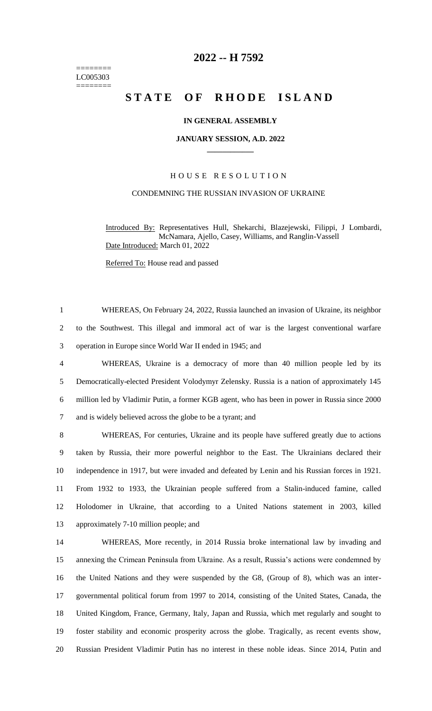======== LC005303 ========

# **-- H 7592**

# **STATE OF RHODE ISLAND**

# **IN GENERAL ASSEMBLY**

#### **JANUARY SESSION, A.D. 2022 \_\_\_\_\_\_\_\_\_\_\_\_**

# H O U S E R E S O L U T I O N

### CONDEMNING THE RUSSIAN INVASION OF UKRAINE

Introduced By: Representatives Hull, Shekarchi, Blazejewski, Filippi, J Lombardi, McNamara, Ajello, Casey, Williams, and Ranglin-Vassell Date Introduced: March 01, 2022

Referred To: House read and passed

 WHEREAS, On February 24, 2022, Russia launched an invasion of Ukraine, its neighbor to the Southwest. This illegal and immoral act of war is the largest conventional warfare operation in Europe since World War II ended in 1945; and

 WHEREAS, Ukraine is a democracy of more than 40 million people led by its Democratically-elected President Volodymyr Zelensky. Russia is a nation of approximately 145 million led by Vladimir Putin, a former KGB agent, who has been in power in Russia since 2000 and is widely believed across the globe to be a tyrant; and

 WHEREAS, For centuries, Ukraine and its people have suffered greatly due to actions taken by Russia, their more powerful neighbor to the East. The Ukrainians declared their independence in 1917, but were invaded and defeated by Lenin and his Russian forces in 1921. From 1932 to 1933, the Ukrainian people suffered from a Stalin-induced famine, called Holodomer in Ukraine, that according to a United Nations statement in 2003, killed approximately 7-10 million people; and

 WHEREAS, More recently, in 2014 Russia broke international law by invading and annexing the Crimean Peninsula from Ukraine. As a result, Russia's actions were condemned by the United Nations and they were suspended by the G8, (Group of 8), which was an inter- governmental political forum from 1997 to 2014, consisting of the United States, Canada, the United Kingdom, France, Germany, Italy, Japan and Russia, which met regularly and sought to foster stability and economic prosperity across the globe. Tragically, as recent events show, Russian President Vladimir Putin has no interest in these noble ideas. Since 2014, Putin and